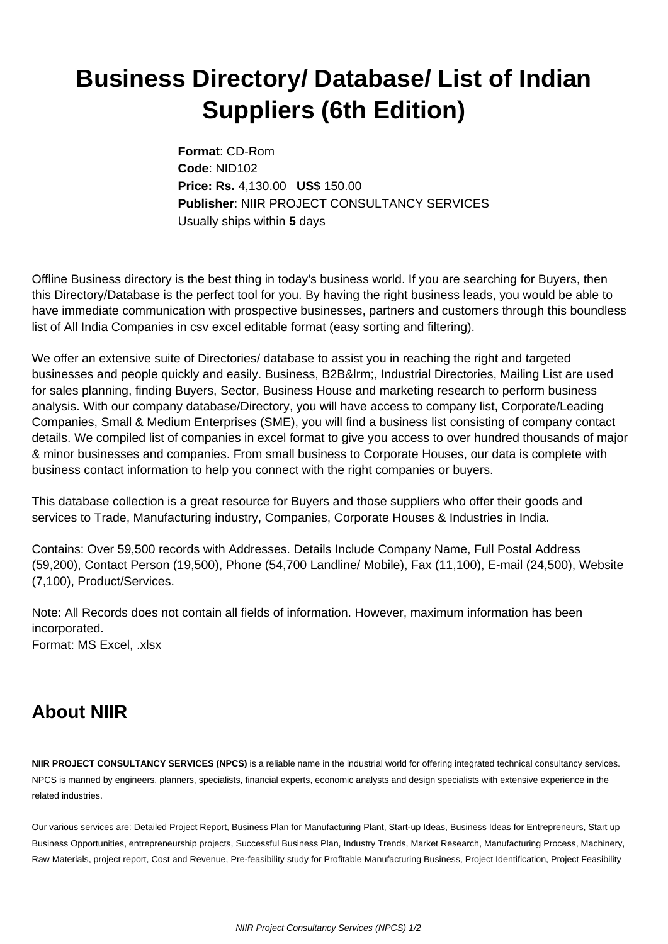## **Business Directory/ Database/ List of Indian Suppliers (6th Edition)**

**Format**: CD-Rom **Code**: NID102 **Price: Rs.** 4,130.00 **US\$** 150.00 **Publisher**: NIIR PROJECT CONSULTANCY SERVICES Usually ships within **5** days

Offline Business directory is the best thing in today's business world. If you are searching for Buyers, then this Directory/Database is the perfect tool for you. By having the right business leads, you would be able to have immediate communication with prospective businesses, partners and customers through this boundless list of All India Companies in csv excel editable format (easy sorting and filtering).

We offer an extensive suite of Directories/ database to assist you in reaching the right and targeted businesses and people quickly and easily. Business, B2B&Irm;, Industrial Directories, Mailing List are used for sales planning, finding Buyers, Sector, Business House and marketing research to perform business analysis. With our company database/Directory, you will have access to company list, Corporate/Leading Companies, Small & Medium Enterprises (SME), you will find a business list consisting of company contact details. We compiled list of companies in excel format to give you access to over hundred thousands of major & minor businesses and companies. From small business to Corporate Houses, our data is complete with business contact information to help you connect with the right companies or buyers.

This database collection is a great resource for Buyers and those suppliers who offer their goods and services to Trade, Manufacturing industry, Companies, Corporate Houses & Industries in India.

Contains: Over 59,500 records with Addresses. Details Include Company Name, Full Postal Address (59,200), Contact Person (19,500), Phone (54,700 Landline/ Mobile), Fax (11,100), E-mail (24,500), Website (7,100), Product/Services.

Note: All Records does not contain all fields of information. However, maximum information has been incorporated. Format: MS Excel, .xlsx

## **About NIIR**

**NIIR PROJECT CONSULTANCY SERVICES (NPCS)** is a reliable name in the industrial world for offering integrated technical consultancy services. NPCS is manned by engineers, planners, specialists, financial experts, economic analysts and design specialists with extensive experience in the related industries.

Our various services are: Detailed Project Report, Business Plan for Manufacturing Plant, Start-up Ideas, Business Ideas for Entrepreneurs, Start up Business Opportunities, entrepreneurship projects, Successful Business Plan, Industry Trends, Market Research, Manufacturing Process, Machinery, Raw Materials, project report, Cost and Revenue, Pre-feasibility study for Profitable Manufacturing Business, Project Identification, Project Feasibility